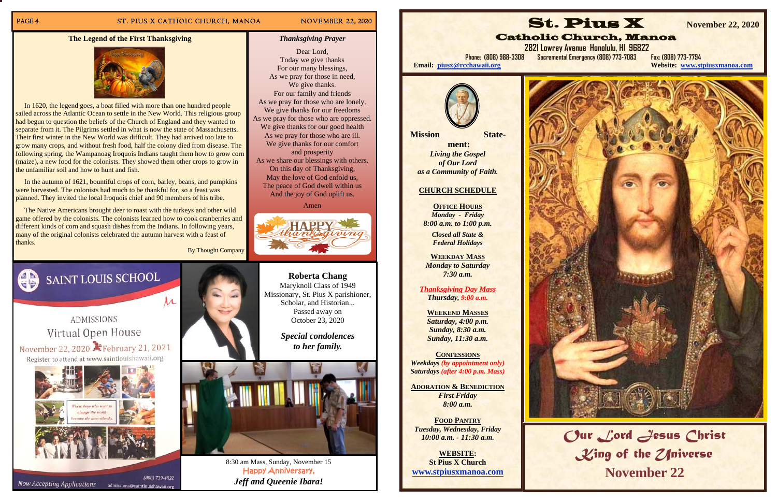### PAGE 4 ST. PIUS X CATHOIC CHURCH, MANOA NOVEMBER 22, 2020



8:30 am Mass, Sunday, November 15 Happy Anniversary, *Jeff and Queenie Ibara!* 

### **The Legend of the First Thanksgiving**



 In 1620, the legend goes, a boat filled with more than one hundred people sailed across the Atlantic Ocean to settle in the New World. This religious group had begun to question the beliefs of the Church of England and they wanted to separate from it. The Pilgrims settled in what is now the state of Massachusetts. Their first winter in the New World was difficult. They had arrived too late to grow many crops, and without fresh food, half the colony died from disease. The following spring, the Wampanoag Iroquois Indians taught them how to grow corn (maize), a new food for the colonists. They showed them other crops to grow in the unfamiliar soil and how to hunt and fish.

 In the autumn of 1621, bountiful crops of corn, barley, beans, and pumpkins were harvested. The colonists had much to be thankful for, so a feast was planned. They invited the local Iroquois chief and 90 members of his tribe.

 The Native Americans brought deer to roast with the turkeys and other wild game offered by the colonists. The colonists learned how to cook cranberries and different kinds of corn and squash dishes from the Indians. In following years, many of the original colonists celebrated the autumn harvest with a feast of thanks.

By Thought Company





admissions@saintlouishawaii.org

**ADMISSIONS** Virtual Open House November 22, 2020 February 21, 2021 Register to attend at www.saintlouishawaii.org





Dear Lord, Today we give thanks

We give thanks.

and prosperity

Amen

**Roberta Chang**  Maryknoll Class of 1949 Missionary, St. Pius X parishioner, Scholar, and Historian... Passed away on October 23, 2020

> *Special condolences to her family.*



**FOOD PANTRY***Tuesday, Wednesday, Friday 10:00 a.m. - 11:30 a.m.* 

**WEBSITE: St Pius X Church www.stpiusxmanoa.com** 

**Now Accepting Applications** 



# **2821 Lowrey Avenue Honolulu, HI 96822**

**Website: www.stpiusxmanoa.com** 



# *Our Lord Jesus Christ*  King of the ZIniverse **November 22**